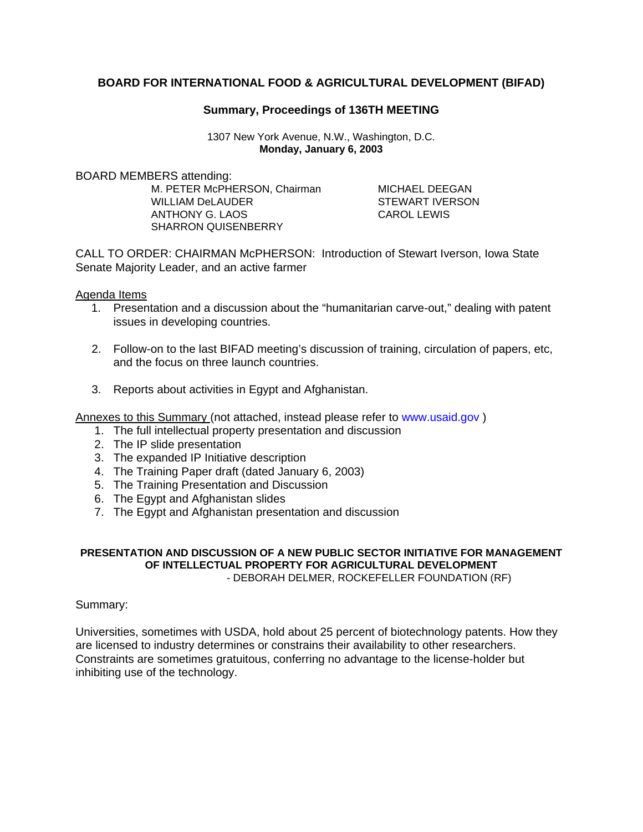# **BOARD FOR INTERNATIONAL FOOD & AGRICULTURAL DEVELOPMENT (BIFAD)**

# **Summary, Proceedings of 136TH MEETING**

1307 New York Avenue, N.W., Washington, D.C. **Monday, January 6, 2003** 

BOARD MEMBERS attending:

M. PETER McPHERSON, Chairman MICHAEL DEEGAN WILLIAM DeLAUDER STEWART IVERSON ANTHONY G. LAOS CAROL LEWIS SHARRON QUISENBERRY

CALL TO ORDER: CHAIRMAN McPHERSON: Introduction of Stewart Iverson, Iowa State Senate Majority Leader, and an active farmer

Agenda Items

- 1. Presentation and a discussion about the "humanitarian carve-out," dealing with patent issues in developing countries.
- 2. Follow-on to the last BIFAD meeting's discussion of training, circulation of papers, etc, and the focus on three launch countries.
- 3. Reports about activities in Egypt and Afghanistan.

Annexes to this Summary (not attached, instead please refer to www.usaid.gov )

- 1. The full intellectual property presentation and discussion
- 2. The IP slide presentation
- 3. The expanded IP Initiative description
- 4. The Training Paper draft (dated January 6, 2003)
- 5. The Training Presentation and Discussion
- 6. The Egypt and Afghanistan slides
- 7. The Egypt and Afghanistan presentation and discussion

#### **PRESENTATION AND DISCUSSION OF A NEW PUBLIC SECTOR INITIATIVE FOR MANAGEMENT OF INTELLECTUAL PROPERTY FOR AGRICULTURAL DEVELOPMENT**  - DEBORAH DELMER, ROCKEFELLER FOUNDATION (RF)

### Summary:

Universities, sometimes with USDA, hold about 25 percent of biotechnology patents. How they are licensed to industry determines or constrains their availability to other researchers. Constraints are sometimes gratuitous, conferring no advantage to the license-holder but inhibiting use of the technology.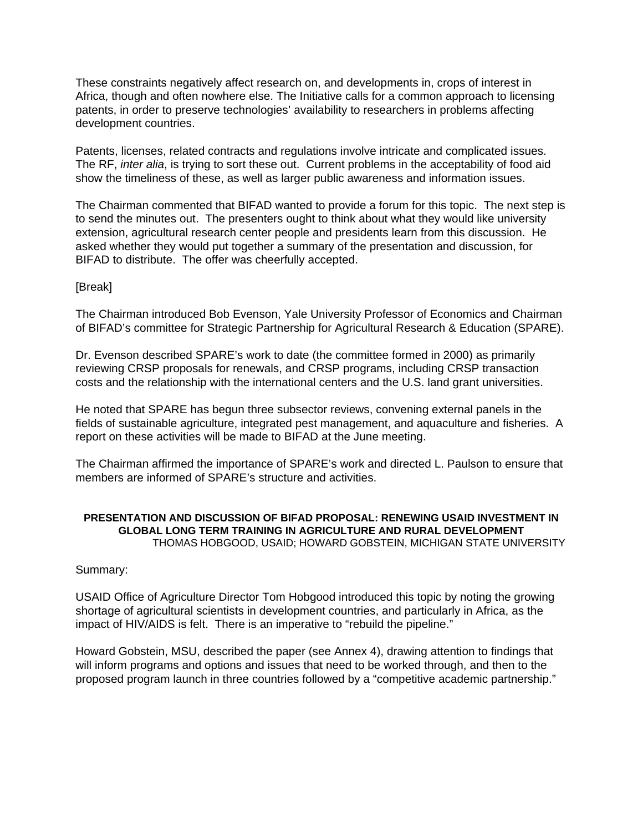These constraints negatively affect research on, and developments in, crops of interest in Africa, though and often nowhere else. The Initiative calls for a common approach to licensing patents, in order to preserve technologies' availability to researchers in problems affecting development countries.

Patents, licenses, related contracts and regulations involve intricate and complicated issues. The RF, *inter alia*, is trying to sort these out. Current problems in the acceptability of food aid show the timeliness of these, as well as larger public awareness and information issues.

The Chairman commented that BIFAD wanted to provide a forum for this topic. The next step is to send the minutes out. The presenters ought to think about what they would like university extension, agricultural research center people and presidents learn from this discussion. He asked whether they would put together a summary of the presentation and discussion, for BIFAD to distribute. The offer was cheerfully accepted.

### [Break]

The Chairman introduced Bob Evenson, Yale University Professor of Economics and Chairman of BIFAD's committee for Strategic Partnership for Agricultural Research & Education (SPARE).

Dr. Evenson described SPARE's work to date (the committee formed in 2000) as primarily reviewing CRSP proposals for renewals, and CRSP programs, including CRSP transaction costs and the relationship with the international centers and the U.S. land grant universities.

He noted that SPARE has begun three subsector reviews, convening external panels in the fields of sustainable agriculture, integrated pest management, and aquaculture and fisheries. A report on these activities will be made to BIFAD at the June meeting.

The Chairman affirmed the importance of SPARE's work and directed L. Paulson to ensure that members are informed of SPARE's structure and activities.

### **PRESENTATION AND DISCUSSION OF BIFAD PROPOSAL: RENEWING USAID INVESTMENT IN GLOBAL LONG TERM TRAINING IN AGRICULTURE AND RURAL DEVELOPMENT**  THOMAS HOBGOOD, USAID; HOWARD GOBSTEIN, MICHIGAN STATE UNIVERSITY

### Summary:

USAID Office of Agriculture Director Tom Hobgood introduced this topic by noting the growing shortage of agricultural scientists in development countries, and particularly in Africa, as the impact of HIV/AIDS is felt. There is an imperative to "rebuild the pipeline."

Howard Gobstein, MSU, described the paper (see Annex 4), drawing attention to findings that will inform programs and options and issues that need to be worked through, and then to the proposed program launch in three countries followed by a "competitive academic partnership."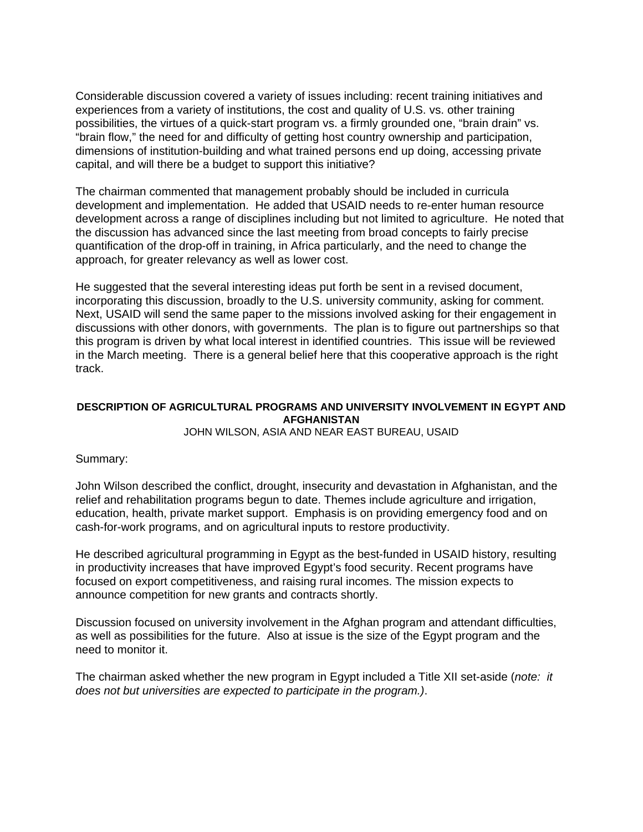Considerable discussion covered a variety of issues including: recent training initiatives and experiences from a variety of institutions, the cost and quality of U.S. vs. other training possibilities, the virtues of a quick-start program vs. a firmly grounded one, "brain drain" vs. "brain flow," the need for and difficulty of getting host country ownership and participation, dimensions of institution-building and what trained persons end up doing, accessing private capital, and will there be a budget to support this initiative?

The chairman commented that management probably should be included in curricula development and implementation. He added that USAID needs to re-enter human resource development across a range of disciplines including but not limited to agriculture. He noted that the discussion has advanced since the last meeting from broad concepts to fairly precise quantification of the drop-off in training, in Africa particularly, and the need to change the approach, for greater relevancy as well as lower cost.

He suggested that the several interesting ideas put forth be sent in a revised document, incorporating this discussion, broadly to the U.S. university community, asking for comment. Next, USAID will send the same paper to the missions involved asking for their engagement in discussions with other donors, with governments. The plan is to figure out partnerships so that this program is driven by what local interest in identified countries. This issue will be reviewed in the March meeting. There is a general belief here that this cooperative approach is the right track.

# **DESCRIPTION OF AGRICULTURAL PROGRAMS AND UNIVERSITY INVOLVEMENT IN EGYPT AND AFGHANISTAN**

JOHN WILSON, ASIA AND NEAR EAST BUREAU, USAID

### Summary:

John Wilson described the conflict, drought, insecurity and devastation in Afghanistan, and the relief and rehabilitation programs begun to date. Themes include agriculture and irrigation, education, health, private market support. Emphasis is on providing emergency food and on cash-for-work programs, and on agricultural inputs to restore productivity.

He described agricultural programming in Egypt as the best-funded in USAID history, resulting in productivity increases that have improved Egypt's food security. Recent programs have focused on export competitiveness, and raising rural incomes. The mission expects to announce competition for new grants and contracts shortly.

Discussion focused on university involvement in the Afghan program and attendant difficulties, as well as possibilities for the future. Also at issue is the size of the Egypt program and the need to monitor it.

The chairman asked whether the new program in Egypt included a Title XII set-aside (*note: it does not but universities are expected to participate in the program.)*.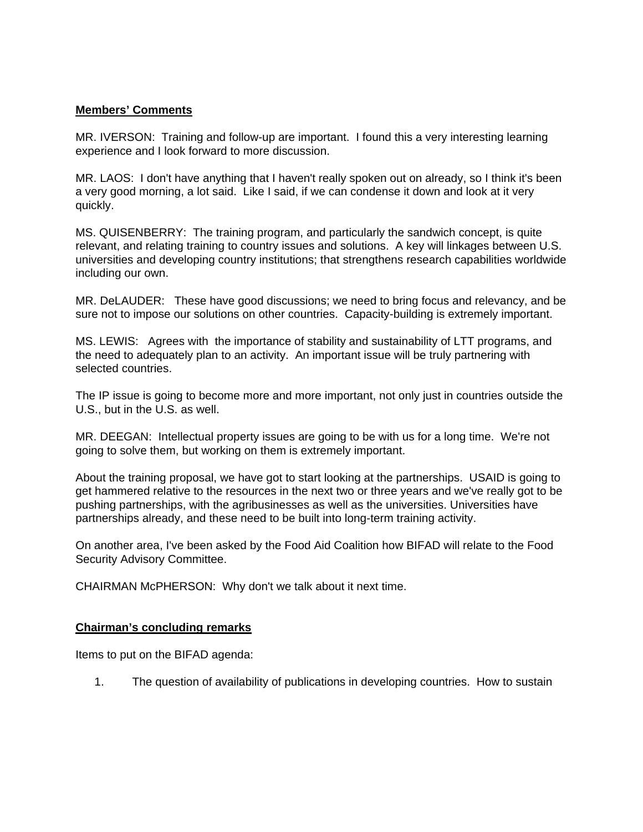### **Members' Comments**

MR. IVERSON: Training and follow-up are important. I found this a very interesting learning experience and I look forward to more discussion.

MR. LAOS: I don't have anything that I haven't really spoken out on already, so I think it's been a very good morning, a lot said. Like I said, if we can condense it down and look at it very quickly.

MS. QUISENBERRY: The training program, and particularly the sandwich concept, is quite relevant, and relating training to country issues and solutions. A key will linkages between U.S. universities and developing country institutions; that strengthens research capabilities worldwide including our own.

MR. DeLAUDER: These have good discussions; we need to bring focus and relevancy, and be sure not to impose our solutions on other countries. Capacity-building is extremely important.

MS. LEWIS: Agrees with the importance of stability and sustainability of LTT programs, and the need to adequately plan to an activity. An important issue will be truly partnering with selected countries.

The IP issue is going to become more and more important, not only just in countries outside the U.S., but in the U.S. as well.

MR. DEEGAN: Intellectual property issues are going to be with us for a long time. We're not going to solve them, but working on them is extremely important.

About the training proposal, we have got to start looking at the partnerships. USAID is going to get hammered relative to the resources in the next two or three years and we've really got to be pushing partnerships, with the agribusinesses as well as the universities. Universities have partnerships already, and these need to be built into long-term training activity.

On another area, I've been asked by the Food Aid Coalition how BIFAD will relate to the Food Security Advisory Committee.

CHAIRMAN McPHERSON: Why don't we talk about it next time.

# **Chairman's concluding remarks**

Items to put on the BIFAD agenda:

1. The question of availability of publications in developing countries. How to sustain